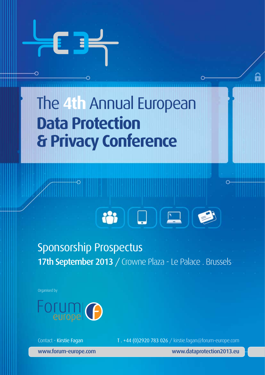



## Sponsorship Prospectus 17th September 2013 / Crowne Plaza - Le Palace . Brussels

Organised by



Contact - Kirstie Fagan T. +44 (0)2920 783 026 / kirstie.fagan@forum-europe.com

www.forum-europe.com www.dataprotection2013.eu

Я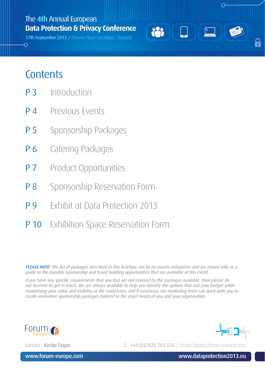17th September 2013 / Crowne Plaza - Le Palace . Brussels

## **Contents**

⌒

- P 3 Introduction
- **P 4** Previous Events
- **P 5** Sponsorship Packages
- **P 6** Catering Packages
- **P 7** Product Opportunities
- **P 8** Sponsorship Reservation Form
- **P 9** Exhibit at Data Protection 2013
- **P 10** Exhibition Space Reservation Form

PLEASE NOTE: The list of packages described in this brochure are by no means exhaustive and are meant only as a guide to the possible sponsorship and brand building opportunities that are available at this event.

ion

'n

If you have any specific requirements that you feel are not covered by the packages available, then please do not hesitate to get in touch. We are always available to help you identify the options that suit your budget while maximising your value and visibility at the conference, and if necessary, our marketing team can work with you to create innovative sponsorship packages tailored to the exact needs of you and your organisation.



Contact - Kirstie Fagan T. +44 (0)2920 783 026 / kirstie.fagan@forum-europe.com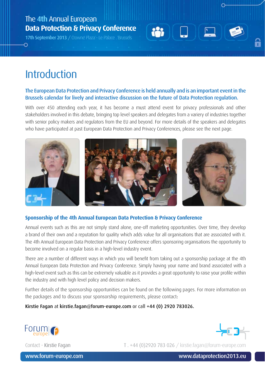17th September 2013 / Crowne Plaza - Le Palace . Brussels

## Introduction

⌒

#### The European Data Protection and Privacy Conference is held annually and is an important event in the Brussels calendar for lively and interactive discussion on the future of Data Protection regulation.

With over 450 attending each year, it has become a must attend event for privacy professionals and other stakeholders involved in this debate, bringing top level speakers and delegates from a variery of industries together with senior policy makers and regulators from the EU and beyond. For more details of the speakers and delegates who have participated at past European Data Protection and Privacy Conferences, please see the next page.



#### **Sponsorship of the 4th Annual European Data Protection & Privacy Conference**

Annual events such as this are not simply stand alone, one-off marketing opportunities. Over time, they develop a brand of their own and a reputation for quality which adds value for all organisations that are associated with it. The 4th Annual European Data Protection and Privacy Conference offers sponsoring organisations the opportunity to become involved on a regular basis in a high-level industry event.

There are a number of different ways in which you will benefit from taking out a sponsorship package at the 4th Annual European Data Protection and Privacy Conference. Simply having your name and brand associated with a high-level event such as this can be extremely valuable as it provides a great opportunity to raise your profile within the industry and with high level policy and decision makers.

Further details of the sponsorship opportunities can be found on the following pages. For more information on the packages and to discuss your sponsorship requirements, please contact:

Kirstie Fagan at kirstie.fagan@forum-europe.com or call +44 (0) 2920 783026.



Contact - Kirstie Fagan T. +44 (0)2920 783 026 / kirstie.fagan@forum-europe.com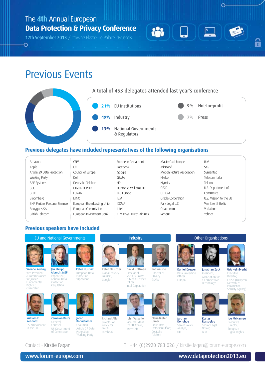17th September 2013 / Crowne Plaza - Le Palace . Brussels

### Previous Events

 $\Omega$ 



#### **Previous delegates have included representatives of the following organisations**

| Amazon                       | <b>CEPS</b>                 | European Parliament      | MasterCard Europe          | <b>RIM</b>             |
|------------------------------|-----------------------------|--------------------------|----------------------------|------------------------|
| Apple                        | Citi                        | Facebook                 | Microsoft                  | SAS                    |
| Article 29 Data Protection   | Council of Europe           | Google                   | Motion Picture Association | Symantec               |
| Working Party                | Dell                        | GSMA                     | Nielsen                    | Telecom Italia         |
| <b>BAE Systems</b>           | Deutsche Telekom            | ΗP                       | Nymity                     | Telenor                |
| <b>BBC</b>                   | DIGITAL FUROPE              | Hunton & Williams LLP    | OECD                       | U.S. Department of     |
| <b>BFUC</b>                  | FDIMA                       | <b>IAB Europe</b>        | <b>OFCOM</b>               | Commerce               |
| Bloomberg                    | <b>FTNO</b>                 | IBM                      | Oracle Corporation         | U.S. Mission to the FU |
| BNP Paribas Personal Finance | European Broadcasting Union | <b>ICOMP</b>             | Park Legal LLC             | Van Bael & Bellis      |
| Bouyques SA                  | European Commission         | Intel                    | Qualcomm                   | Vodafone               |
| British Telecom              | European Investment Bank    | KLM Royal Dutch Airlines | Renault                    | Yahoo!                 |

#### **Previous speakers have included**



Contact - Kirstie Fagan T. +44 (0)2920 783 026 / kirstie.fagan@forum-europe.com

www.forum-europe.com www.dataprotection2013.eu

O

6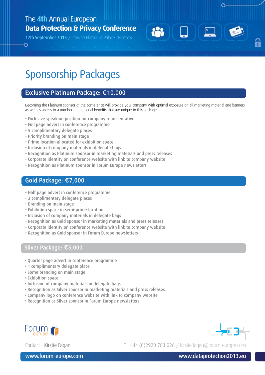17th September 2013 / Crowne Plaza - Le Palace . Brussels

## Sponsorship Packages

#### Exclusive Platinum Package: €10,000

Becoming the Platinum sponsor of the conference will provide your company with optimal exposure on all marketing material and banners, as well as access to a number of additional benefits that are unique to this package.

**223** 

- Exclusive speaking position for company representative
- Full page advert in conference programme
- 5 complimentary delegate places

⌒

- Priority branding on main stage
- Prime location allocated for exhibition space
- Inclusion of company materials in delegate bags
- Recognition as Platinum sponsor in marketing materials and press releases
- Corporate identity on conference website with link to company website
- Recognition as Platinum sponsor in Forum Europe newsletters

#### Gold Package: €7,000

- Half page advert in conference programme
- 3 complimentary delegate places
- Branding on main stage
- Exhibition space in semi-prime location
- Inclusion of company materials in delegate bags
- Recognition as Gold sponsor in marketing materials and press releases
- Corporate identity on conference website with link to company website
- Recognition as Gold sponsor in Forum Europe newsletters

#### Silver Package: €5,000

- Quarter page advert in conference programme
- 1 complimentary delegate place
- Some branding on main stage
- Exhibition space
- Inclusion of company materials in delegate bags
- Recognition as Silver sponsor in marketing materials and press releases
- Company logo on conference website with link to company website
- Recognition as Silver sponsor in Forum Europe newsletters





Ĥ

Contact - Kirstie Fagan T. +44 (0)2920 783 026 / kirstie.fagan@forum-europe.com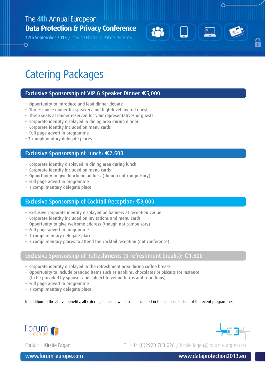17th September 2013 / Crowne Plaza - Le Palace . Brussels

## Catering Packages

O

#### Exclusive Sponsorship of VIP & Speaker Dinner €5,000

as,

- Opportunity to introduce and lead dinner-debate
- Three-course dinner for speakers and high-level invited guests
- Three seats at dinner reserved for your representatives or guests
- Corporate identity displayed in dining area during dinner
- Corporate identity included on menu cards
- Full page advert in programme
- 3 complimentary delegate places

#### Exclusive Sponsorship of Lunch: €2,500

- Corporate identity displayed in dining area during lunch
- Corporate identity included on menu cards
- Opportunity to give luncheon address (though not compulsory)
- Full page advert in programme
- 1 complimentary delegate place

#### Exclusive Sponsorship of Cocktail Reception: €3,000

- Exclusive corporate identity displayed on banners at reception venue
- Corporate identity included on invitations and menu cards
- Opportunity to give welcome address (though not compulsory)
- Full page advert in programme
- 1 complimentary delegate place
- 5 complimentary places to attend the cocktail reception (not conference)

#### Exclusive Sponsorship of Refreshments (3 refreshment breaks): €1,800

- Corporate identity displayed in the refreshment area during coffee breaks
- Opportunity to include branded items such as napkins, chocolates or biscuits for instance (to be provided by sponsor and subject to venue terms and conditions)
- Full page advert in programme
- 1 complimentary delegate place

In addition to the above benefits, all catering sponsors will also be included in the sponsor section of the event programme.





Ŧ

Contact - Kirstie Fagan T. +44 (0)2920 783 026 / kirstie.fagan@forum-europe.com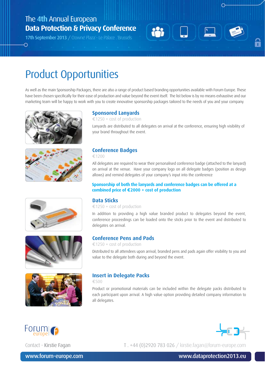17th September 2013 / Crowne Plaza - Le Palace . Brussels



## Product Opportunities

As well as the main Sponsorship Packages, there are also a range of product based branding opportunities available with Forum Europe. These have been chosen specifically for their ease of production and value beyond the event itself. The list below is by no means exhaustive and our marketing team will be happy to work with you to create innovative sponsorship packages tailored to the needs of you and your company.



O









#### **Sponsored Lanyards**

€1250 + cost of production

Lanyards are distributed to all delegates on arrival at the conference, ensuring high visibility of your brand throughout the event.

#### **Conference Badges**

€1200

All delegates are required to wear their personalised conference badge (attached to the lanyard) on arrival at the venue. Have your company logo on all delegate badges (position as design allows) and remind delegates of your company's input into the conference

#### **Sponsorship of both the lanyards and conference badges can be offered at a combined price of €2000 + cost of production**

#### **Data Sticks**

€1250 + cost of production

In addition to providing a high value branded product to delegates beyond the event, conference proceedings can be loaded onto the sticks prior to the event and distributed to delegates on arrival.

#### **Conference Pens and Pads**

€1250 + cost of production

Distributed to all attendees upon arrival, branded pens and pads again offer visibility to you and value to the delegate both during and beyond the event.

#### **Insert in Delegate Packs**

€500

Product or promotional materials can be included within the delegate packs distributed to each participant upon arrival. A high value option providing detailed company information to all delegates.



Contact - Kirstie Fagan T. +44 (0)2920 783 026 / kirstie.fagan@forum-europe.com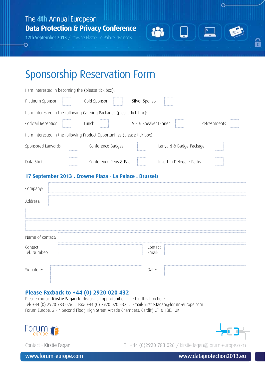17th September 2013 / Crowne Plaza - Le Palace . Brussels

 $\Omega$ 



 $\Omega$ 

6

## Sponsorship Reservation Form

| I am interested in becoming the (please tick box):                        |                                      |
|---------------------------------------------------------------------------|--------------------------------------|
| Platinum Sponsor<br>Gold Sponsor                                          | Silver Sponsor                       |
| I am interested in the following Catering Packages (please tick box):     |                                      |
| Cocktail Reception<br>Lunch                                               | Refreshments<br>VIP & Speaker Dinner |
| I am interested in the following Product Opportunities (please tick box): |                                      |
| Sponsored Lanyards<br>Conference Badges                                   | Lanyard & Badge Package              |
| Conference Pens & Pads<br>Data Sticks                                     | Insert in Delegate Packs             |
| 17 September 2013 . Crowne Plaza - La Palace . Brussels                   |                                      |
| Company:                                                                  |                                      |
| Address:                                                                  |                                      |
|                                                                           |                                      |
|                                                                           |                                      |
| Name of contact:                                                          |                                      |
| Contact<br>Tel. Number:                                                   | Contact<br>Email:                    |
| Signature:                                                                | Date:                                |

#### **Please Faxback to +44 (0) 2920 020 432**

Please contact Kirstie Fagan to discuss all opportunities listed in this brochure. Tel: +44 (0) 2920 783 026 . Fax: +44 (0) 2920 020 432 . Email: kirstie.fagan@forum-europe.com Forum Europe, 2 - 4 Second Floor, High Street Arcade Chambers, Cardiff, CF10 1BE. UK





Contact - Kirstie Fagan T. +44 (0)2920 783 026 / kirstie.fagan@forum-europe.com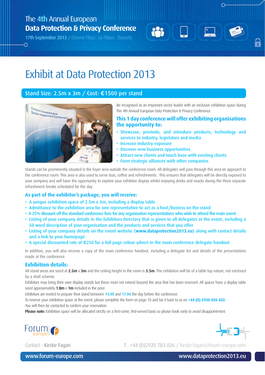17th September 2013 / Crowne Plaza - Le Palace . Brussels

O



Ŧ

## Exhibit at Data Protection 2013

#### Stand Size: 2.5m x 3m / Cost: €1500 per stand



Be recognised as an important sector leader with an exclusive exhibition space during The 4th Annual European Data Protection & Privacy Conference.

#### **This 1 day conference will offer exhibiting organisations the opportunity to:**

- Showcase, promote, and introduce products, technology and services to industry, legislators and media
- Increase industry exposure
- Discover new business opportunities
- Attract new clients and touch base with existing clients
- Form strategic alliances with other companies

Stands can be prominently situated in the foyer area outside the conference room. All delegates will pass through this area on approach to the conference room. This area is also used to serve teas, coffee and refreshments. This ensures that delegates will be directly exposed to your company and will have the opportunity to explore your exhibitor display whilst enjoying drinks and snacks during the three separate refreshment breaks scheduled for the day.

#### **As part of the exhibitor's package, you will receive:**

- A unique exhibition space of 2.5m x 3m, including a display table
- Admittance to the exhibition area for one representative to act as a host/hostess on the stand
- A 25% discount off the standard conference fees for any organisation representatives who wish to attend the main event
- Listing of your company details in the Exhibitors Directory that is given to all delegates at the event, including a 50 word description of your organisation and the products and services that you offer
- Listing of your company details on the event website (**www.dataprotection2013.eu**) along with contact details and a link to your homepage
- A special discounted rate of €250 for a full page colour advert in the main conference delegate handout

In addition, you will also receive a copy of the main conference handout, including a delegate list and details of the presentations made at the conference.

#### **Exhibition details:**

All stand areas are sized at 2.5m x 3m and the ceiling height in the room is 3.5m. The exhibition will be of a table top nature, not enclosed by a shell scheme.

Exhibitors may bring their own display stands but these must not extend beyond the area that has been reserved. All spaces have a display table sized approximately  $1.8m \times 1m$  included in the price.

Exhibitors are invited to prepare their stand between 14.00 and 17.00 the day before the conference.

To reserve your exhibition space at the event, please complete the form on page 10 and fax it back to us on **+44 (0) 2920 020 432.** You will then be contacted to confirm your reservation.

Please note: Exhibition space will be allocated strictly on a first-come, first-served basis so please book early to avoid disappointment.



Contact - Kirstie Fagan T. +44 (0)2920 783 026 / kirstie.fagan@forum-europe.com